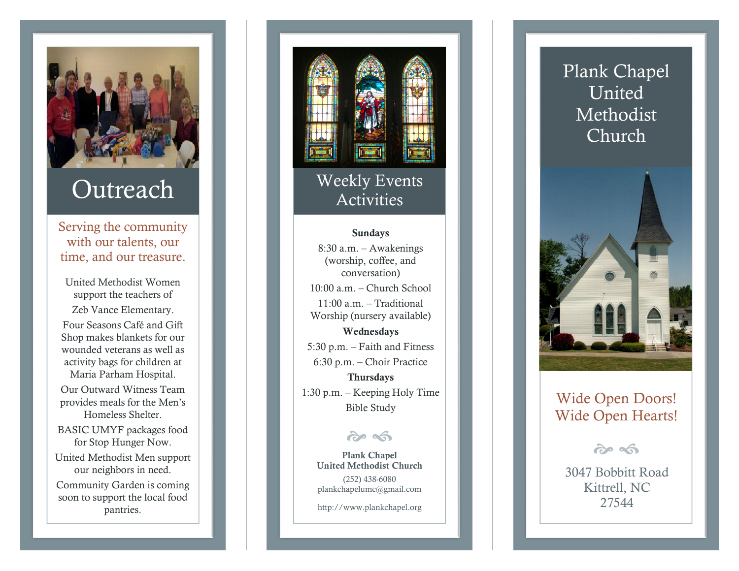

### Outreach

Serving the community with our talents, our time, and our treasure.

United Methodist Women support the teachers of Zeb Vance Elementary. Four Seasons Café and Gift Shop makes blankets for our wounded veterans as well as activity bags for children at Maria Parham Hospital. Our Outward Witness Team provides meals for the Men's Homeless Shelter. BASIC UMYF packages food for Stop Hunger Now. United Methodist Men support our neighbors in need. Community Garden is coming

soon to support the local food pantries.



# Weekly Events<br>Activities

#### Sundays

8:30 a.m. – Awakenings (worship, coffee, and conversation) 10:00 a.m. – Church School 11:00 a.m. – Traditional Worship (nursery available) Wednesdays 5:30 p.m. – Faith and Fitness 6:30 p.m. – Choir Practice Thursdays

1:30 p.m. – Keeping Holy Time

#### ကဲ ေ

 United Methodist Church Plank Chapel (252) 438-6080 plankchapelumc@gmail.com

http://www.plankchapel.org



## - Reeping Holy Time<br>Bible Study Wide Open Hearts!

 $\boldsymbol{\hat{\alpha}}$   $\boldsymbol{\hat{\alpha}}$ 

 3047 Bobbitt RoadKittrell, NC 27544